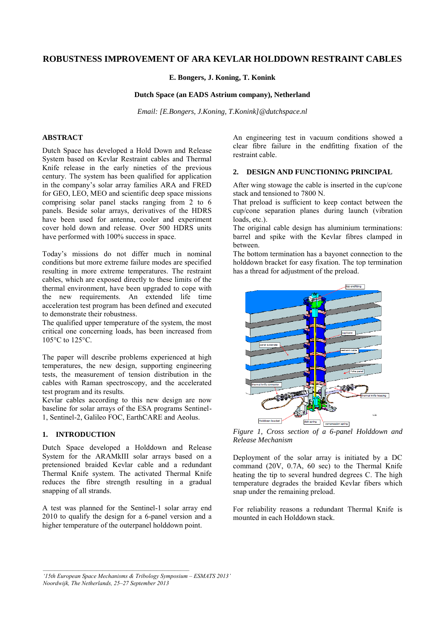# **ROBUSTNESS IMPROVEMENT OF ARA KEVLAR HOLDDOWN RESTRAINT CABLES**

**E. Bongers, J. Koning, T. Konink** 

## **Dutch Space (an EADS Astrium company), Netherland**

*Email: [E.Bongers, J.Koning, T.Konink]@dutchspace.nl*

## **ABSTRACT**

Dutch Space has developed a Hold Down and Release System based on Kevlar Restraint cables and Thermal Knife release in the early nineties of the previous century. The system has been qualified for application in the company's solar array families ARA and FRED for GEO, LEO, MEO and scientific deep space missions comprising solar panel stacks ranging from 2 to 6 panels. Beside solar arrays, derivatives of the HDRS have been used for antenna, cooler and experiment cover hold down and release. Over 500 HDRS units have performed with 100% success in space.

Today's missions do not differ much in nominal conditions but more extreme failure modes are specified resulting in more extreme temperatures. The restraint cables, which are exposed directly to these limits of the thermal environment, have been upgraded to cope with the new requirements. An extended life time acceleration test program has been defined and executed to demonstrate their robustness.

The qualified upper temperature of the system, the most critical one concerning loads, has been increased from 105°C to 125°C.

The paper will describe problems experienced at high temperatures, the new design, supporting engineering tests, the measurement of tension distribution in the cables with Raman spectroscopy, and the accelerated test program and its results.

Kevlar cables according to this new design are now baseline for solar arrays of the ESA programs Sentinel-1, Sentinel-2, Galileo FOC, EarthCARE and Aeolus.

## **1. INTRODUCTION**

Dutch Space developed a Holddown and Release System for the ARAMkIII solar arrays based on a pretensioned braided Kevlar cable and a redundant Thermal Knife system. The activated Thermal Knife reduces the fibre strength resulting in a gradual snapping of all strands.

A test was planned for the Sentinel-1 solar array end 2010 to qualify the design for a 6-panel version and a higher temperature of the outerpanel holddown point.

An engineering test in vacuum conditions showed a clear fibre failure in the endfitting fixation of the restraint cable.

## **2. DESIGN AND FUNCTIONING PRINCIPAL**

After wing stowage the cable is inserted in the cup/cone stack and tensioned to 7800 N.

That preload is sufficient to keep contact between the cup/cone separation planes during launch (vibration loads, etc.).

The original cable design has aluminium terminations: barrel and spike with the Kevlar fibres clamped in between.

The bottom termination has a bayonet connection to the holddown bracket for easy fixation. The top termination has a thread for adjustment of the preload.



*Figure 1, Cross section of a 6-panel Holddown and Release Mechanism* 

Deployment of the solar array is initiated by a DC command (20V, 0.7A, 60 sec) to the Thermal Knife heating the tip to several hundred degrees C. The high temperature degrades the braided Kevlar fibers which snap under the remaining preload.

For reliability reasons a redundant Thermal Knife is mounted in each Holddown stack.

*<sup>&#</sup>x27;15th European Space Mechanisms & Tribology Symposium – ESMATS 2013' Noordwijk, The Netherlands, 25–27 September 2013*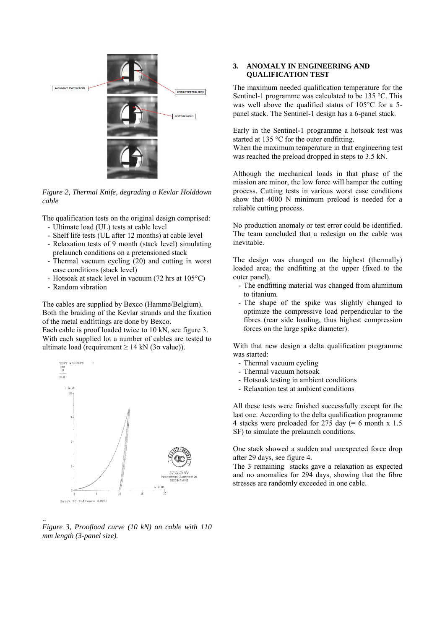

*Figure 2, Thermal Knife, degrading a Kevlar Holddown cable* 

The qualification tests on the original design comprised:

- Ultimate load (UL) tests at cable level
- Shelf life tests (UL after 12 months) at cable level
- Relaxation tests of 9 month (stack level) simulating prelaunch conditions on a pretensioned stack
- Thermal vacuum cycling (20) and cutting in worst case conditions (stack level)
- Hotsoak at stack level in vacuum (72 hrs at 105°C)
- Random vibration

The cables are supplied by Bexco (Hamme/Belgium). Both the braiding of the Kevlar strands and the fixation of the metal endfittings are done by Bexco.

Each cable is proof loaded twice to 10 kN, see figure 3. With each supplied lot a number of cables are tested to ultimate load (requirement  $\geq 14$  kN (3 $\sigma$  value)).



.. *Figure 3, Proofload curve (10 kN) on cable with 110 mm length (3-panel size).*

# **3. ANOMALY IN ENGINEERING AND QUALIFICATION TEST**

The maximum needed qualification temperature for the Sentinel-1 programme was calculated to be 135 °C. This was well above the qualified status of 105°C for a 5 panel stack. The Sentinel-1 design has a 6-panel stack.

Early in the Sentinel-1 programme a hotsoak test was started at 135 °C for the outer endfitting. When the maximum temperature in that engineering test

was reached the preload dropped in steps to 3.5 kN.

Although the mechanical loads in that phase of the mission are minor, the low force will hamper the cutting process. Cutting tests in various worst case conditions show that 4000 N minimum preload is needed for a reliable cutting process.

No production anomaly or test error could be identified. The team concluded that a redesign on the cable was inevitable.

The design was changed on the highest (thermally) loaded area; the endfitting at the upper (fixed to the outer panel).

- The endfitting material was changed from aluminum to titanium.
- The shape of the spike was slightly changed to optimize the compressive load perpendicular to the fibres (rear side loading, thus highest compression forces on the large spike diameter).

With that new design a delta qualification programme was started:

- Thermal vacuum cycling
- Thermal vacuum hotsoak
- Hotsoak testing in ambient conditions
- Relaxation test at ambient conditions

All these tests were finished successfully except for the last one. According to the delta qualification programme 4 stacks were preloaded for 275 day (= 6 month x 1.5 SF) to simulate the prelaunch conditions.

One stack showed a sudden and unexpected force drop after 29 days, see figure 4.

The 3 remaining stacks gave a relaxation as expected and no anomalies for 294 days, showing that the fibre stresses are randomly exceeded in one cable.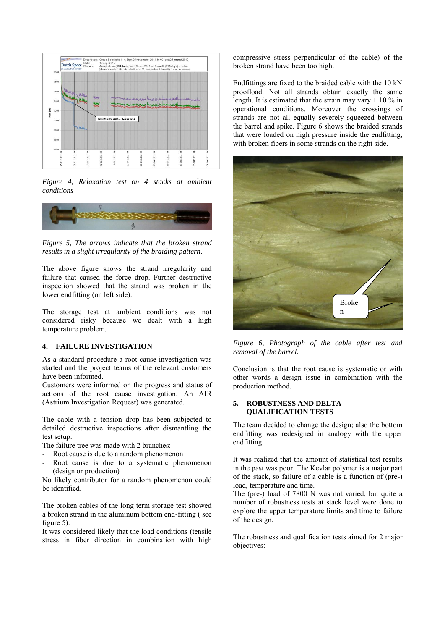

*Figure 4, Relaxation test on 4 stacks at ambient conditions* 



*Figure 5, The arrows indicate that the broken strand results in a slight irregularity of the braiding pattern.* 

The above figure shows the strand irregularity and failure that caused the force drop. Further destructive inspection showed that the strand was broken in the lower endfitting (on left side).

The storage test at ambient conditions was not considered risky because we dealt with a high temperature problem.

#### **4. FAILURE INVESTIGATION**

As a standard procedure a root cause investigation was started and the project teams of the relevant customers have been informed.

Customers were informed on the progress and status of actions of the root cause investigation. An AIR (Astrium Investigation Request) was generated.

The cable with a tension drop has been subjected to detailed destructive inspections after dismantling the test setup.

The failure tree was made with 2 branches:

- Root cause is due to a random phenomenon
- Root cause is due to a systematic phenomenon (design or production)

No likely contributor for a random phenomenon could be identified.

The broken cables of the long term storage test showed a broken strand in the aluminum bottom end-fitting ( see figure 5).

It was considered likely that the load conditions (tensile stress in fiber direction in combination with high compressive stress perpendicular of the cable) of the broken strand have been too high.

Endfittings are fixed to the braided cable with the 10 kN proofload. Not all strands obtain exactly the same length. It is estimated that the strain may vary  $\pm$  10 % in operational conditions. Moreover the crossings of strands are not all equally severely squeezed between the barrel and spike. Figure 6 shows the braided strands that were loaded on high pressure inside the endfitting, with broken fibers in some strands on the right side.



*Figure 6, Photograph of the cable after test and removal of the barrel.* 

Conclusion is that the root cause is systematic or with other words a design issue in combination with the production method.

#### **5. ROBUSTNESS AND DELTA QUALIFICATION TESTS**

The team decided to change the design; also the bottom endfitting was redesigned in analogy with the upper endfitting.

It was realized that the amount of statistical test results in the past was poor. The Kevlar polymer is a major part of the stack, so failure of a cable is a function of (pre-) load, temperature and time.

The (pre-) load of 7800 N was not varied, but quite a number of robustness tests at stack level were done to explore the upper temperature limits and time to failure of the design.

The robustness and qualification tests aimed for 2 major objectives: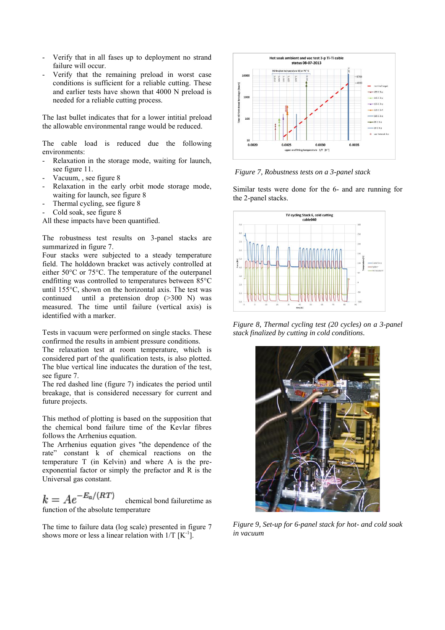- Verify that in all fases up to deployment no strand failure will occur.
- Verify that the remaining preload in worst case conditions is sufficient for a reliable cutting. These and earlier tests have shown that 4000 N preload is needed for a reliable cutting process.

The last bullet indicates that for a lower intitial preload the allowable environmental range would be reduced.

The cable load is reduced due the following environments:

- Relaxation in the storage mode, waiting for launch, see figure 11.
- Vacuum, , see figure 8
- Relaxation in the early orbit mode storage mode, waiting for launch, see figure 8
- Thermal cycling, see figure 8
- Cold soak, see figure 8

All these impacts have been quantified.

The robustness test results on 3-panel stacks are summarized in figure 7.

Four stacks were subjected to a steady temperature field. The holddown bracket was actively controlled at either 50°C or 75°C. The temperature of the outerpanel endfitting was controlled to temperatures between 85°C until 155°C, shown on the horizontal axis. The test was continued until a pretension drop (>300 N) was measured. The time until failure (vertical axis) is identified with a marker.

Tests in vacuum were performed on single stacks. These confirmed the results in ambient pressure conditions.

The relaxation test at room temperature, which is considered part of the qualification tests, is also plotted. The blue vertical line inducates the duration of the test, see figure 7.

The red dashed line (figure 7) indicates the period until breakage, that is considered necessary for current and future projects.

This method of plotting is based on the supposition that the chemical bond failure time of the Kevlar fibres follows the Arrhenius equation.

The Arrhenius equation gives "the dependence of the rate" constant k of chemical reactions on the temperature T (in Kelvin) and where A is the preexponential factor or simply the prefactor and R is the Universal gas constant.

 $k = Ae^{-E_a/(RT)}$  chemical bond failuretime as function of the absolute temperature

The time to failure data (log scale) presented in figure 7 shows more or less a linear relation with  $1/T$   $[K^{-1}]$ .



*Figure 7, Robustness tests on a 3-panel stack*

Similar tests were done for the 6- and are running for the 2-panel stacks.



*Figure 8, Thermal cycling test (20 cycles) on a 3-panel stack finalized by cutting in cold conditions.* 



*Figure 9, Set-up for 6-panel stack for hot- and cold soak in vacuum*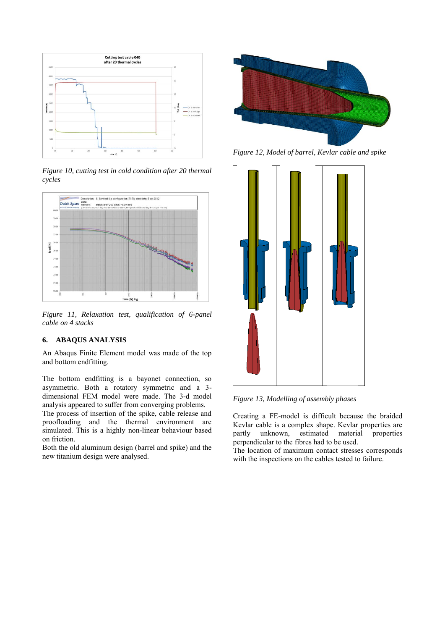

*Figure 10, cutting test in cold condition after 20 thermal cycles* 



*Figure 11, Relaxation test, qualification of 6-panel cable on 4 stacks* 

# **6. ABAQUS ANALYSIS**

An Abaqus Finite Element model was made of the top and bottom endfitting.

The bottom endfitting is a bayonet connection, so asymmetric. Both a rotatory symmetric and a 3 dimensional FEM model were made. The 3-d model analysis appeared to suffer from converging problems.

The process of insertion of the spike, cable release and proofloading and the thermal environment are simulated. This is a highly non-linear behaviour based on friction.

Both the old aluminum design (barrel and spike) and the new titanium design were analysed.



*Figure 12, Model of barrel, Kevlar cable and spike* 



*Figure 13, Modelling of assembly phases* 

Creating a FE-model is difficult because the braided Kevlar cable is a complex shape. Kevlar properties are partly unknown, estimated material properties perpendicular to the fibres had to be used.

The location of maximum contact stresses corresponds with the inspections on the cables tested to failure.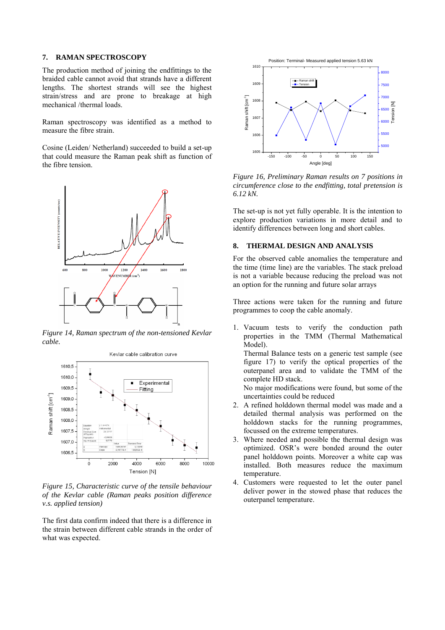#### **7. RAMAN SPECTROSCOPY**

The production method of joining the endfittings to the braided cable cannot avoid that strands have a different lengths. The shortest strands will see the highest strain/stress and are prone to breakage at high mechanical /thermal loads.

Raman spectroscopy was identified as a method to measure the fibre strain.

Cosine (Leiden/ Netherland) succeeded to build a set-up that could measure the Raman peak shift as function of the fibre tension.



*Figure 14, Raman spectrum of the non-tensioned Kevlar cable.* 



*Figure 15, Characteristic curve of the tensile behaviour of the Kevlar cable (Raman peaks position difference v.s. applied tension)* 

The first data confirm indeed that there is a difference in the strain between different cable strands in the order of what was expected.



*Figure 16, Preliminary Raman results on 7 positions in circumference close to the endfitting, total pretension is 6.12 kN.* 

The set-up is not yet fully operable. It is the intention to explore production variations in more detail and to identify differences between long and short cables.

## **8. THERMAL DESIGN AND ANALYSIS**

For the observed cable anomalies the temperature and the time (time line) are the variables. The stack preload is not a variable because reducing the preload was not an option for the running and future solar arrays

Three actions were taken for the running and future programmes to coop the cable anomaly.

1. Vacuum tests to verify the conduction path properties in the TMM (Thermal Mathematical Model).

Thermal Balance tests on a generic test sample (see figure 17) to verify the optical properties of the outerpanel area and to validate the TMM of the complete HD stack.

No major modifications were found, but some of the uncertainties could be reduced

- 2. A refined holddown thermal model was made and a detailed thermal analysis was performed on the holddown stacks for the running programmes, focussed on the extreme temperatures.
- 3. Where needed and possible the thermal design was optimized. OSR's were bonded around the outer panel holddown points. Moreover a white cap was installed. Both measures reduce the maximum temperature.
- 4. Customers were requested to let the outer panel deliver power in the stowed phase that reduces the outerpanel temperature.